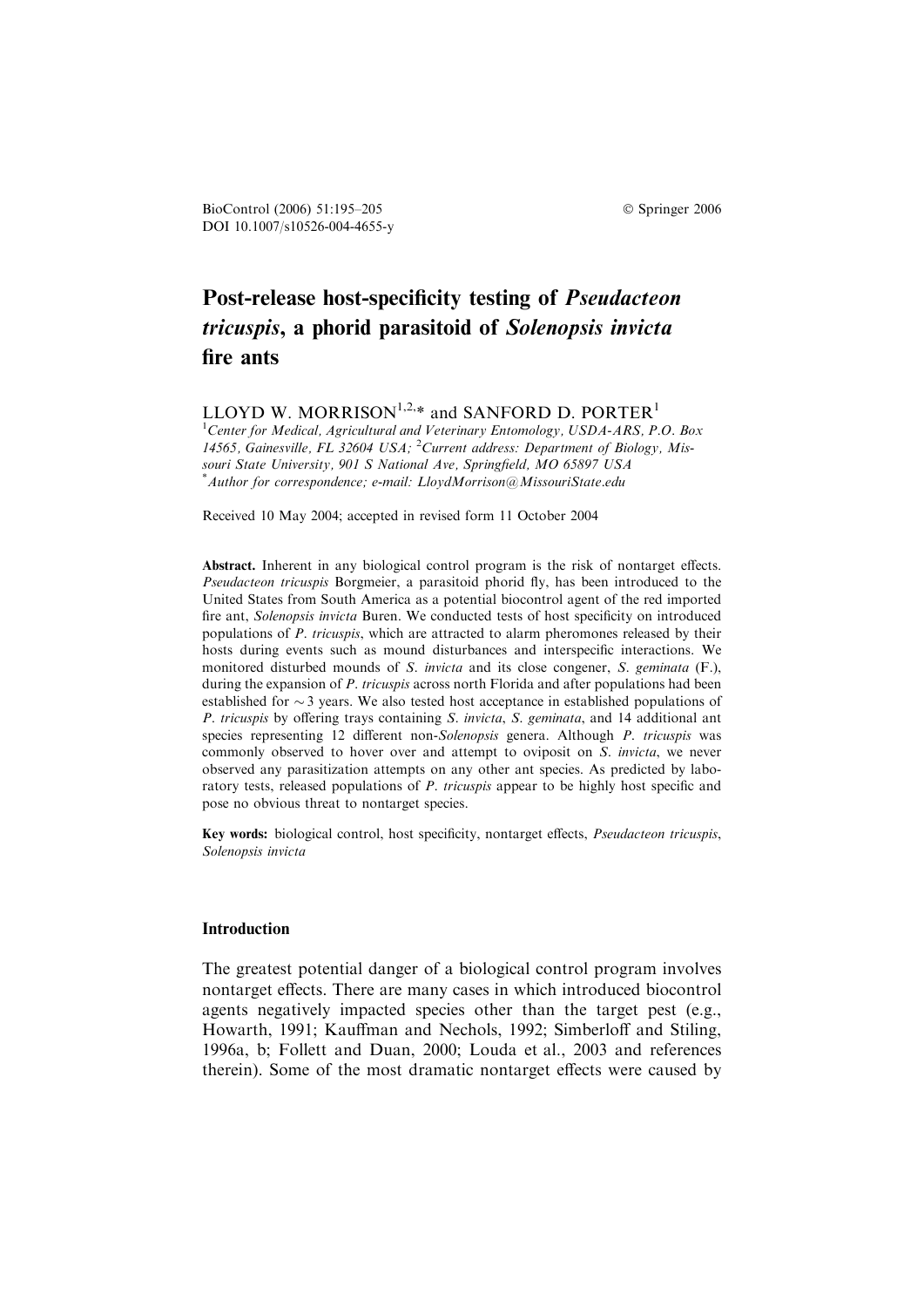BioControl (2006) 51:195–205 Springer 2006 DOI 10.1007/s10526-004-4655-y

# Post-release host-specificity testing of Pseudacteon tricuspis, a phorid parasitoid of Solenopsis invicta fire ants

LLOYD W. MORRISON<sup>1,2,\*</sup> and SANFORD D. PORTER<sup>1</sup>

<sup>1</sup>Center for Medical, Agricultural and Veterinary Entomology, USDA-ARS, P.O. Box 14565, Gainesville, FL 32604 USA; <sup>2</sup>Current address: Department of Biology, Missouri State University, 901 S National Ave, Springfield, MO 65897 USA \* Author for correspondence; e-mail: LloydMorrison@MissouriState.edu

Received 10 May 2004; accepted in revised form 11 October 2004

Abstract. Inherent in any biological control program is the risk of nontarget effects. Pseudacteon tricuspis Borgmeier, a parasitoid phorid fly, has been introduced to the United States from South America as a potential biocontrol agent of the red imported fire ant, Solenopsis invicta Buren. We conducted tests of host specificity on introduced populations of P. tricuspis, which are attracted to alarm pheromones released by their hosts during events such as mound disturbances and interspecific interactions. We monitored disturbed mounds of S. *invicta* and its close congener, S. *geminata* (F.), during the expansion of P. tricuspis across north Florida and after populations had been established for  $\sim$  3 years. We also tested host acceptance in established populations of P. tricuspis by offering trays containing S. invicta, S. geminata, and 14 additional ant species representing 12 different non-Solenopsis genera. Although P. tricuspis was commonly observed to hover over and attempt to oviposit on S. invicta, we never observed any parasitization attempts on any other ant species. As predicted by laboratory tests, released populations of P. tricuspis appear to be highly host specific and pose no obvious threat to nontarget species.

Key words: biological control, host specificity, nontarget effects, *Pseudacteon tricuspis*, Solenopsis invicta

## **Introduction**

The greatest potential danger of a biological control program involves nontarget effects. There are many cases in which introduced biocontrol agents negatively impacted species other than the target pest (e.g., Howarth, 1991; Kauffman and Nechols, 1992; Simberloff and Stiling, 1996a, b; Follett and Duan, 2000; Louda et al., 2003 and references therein). Some of the most dramatic nontarget effects were caused by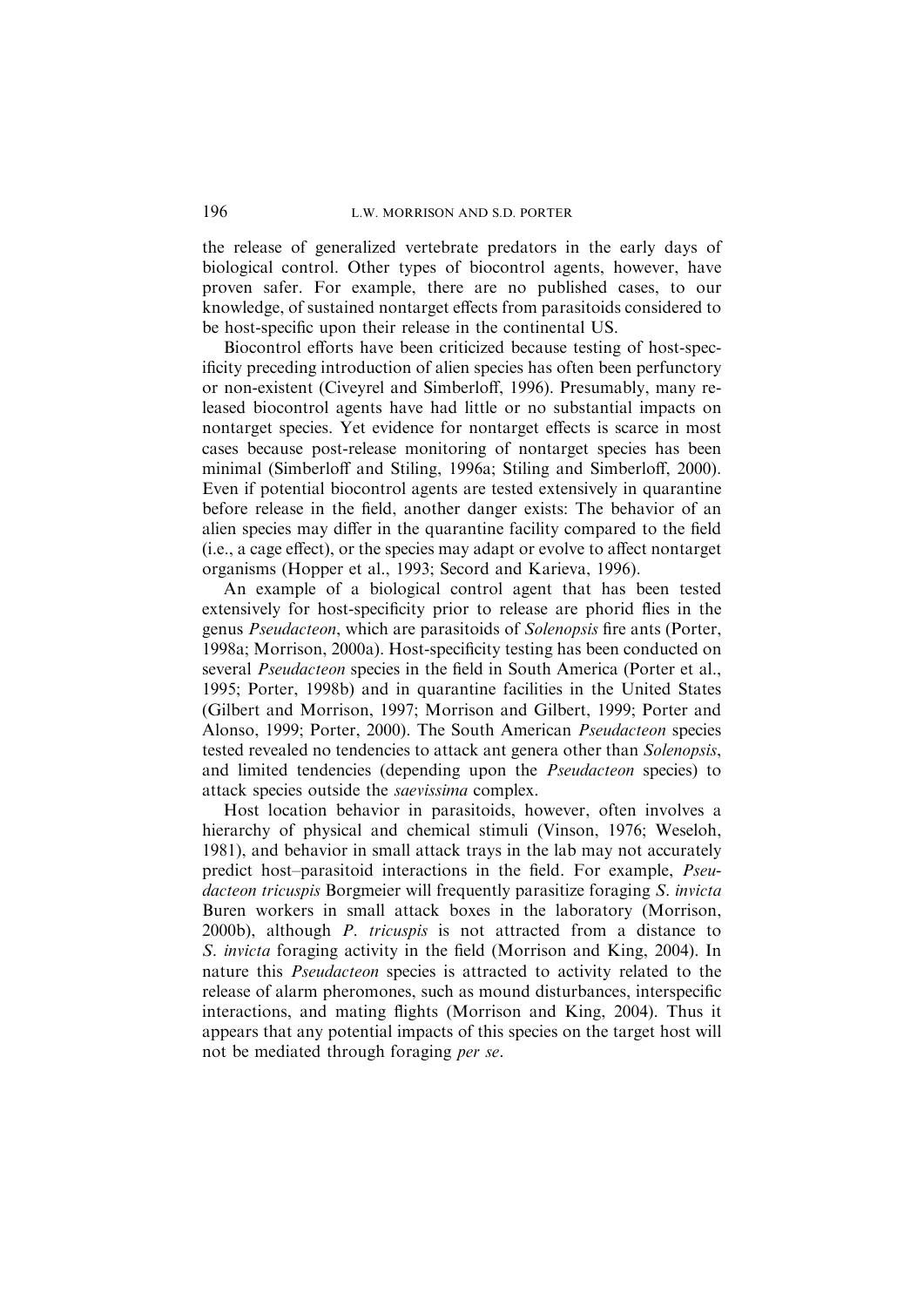the release of generalized vertebrate predators in the early days of biological control. Other types of biocontrol agents, however, have proven safer. For example, there are no published cases, to our knowledge, of sustained nontarget effects from parasitoids considered to be host-specific upon their release in the continental US.

Biocontrol efforts have been criticized because testing of host-specificity preceding introduction of alien species has often been perfunctory or non-existent (Civeyrel and Simberloff, 1996). Presumably, many released biocontrol agents have had little or no substantial impacts on nontarget species. Yet evidence for nontarget effects is scarce in most cases because post-release monitoring of nontarget species has been minimal (Simberloff and Stiling, 1996a; Stiling and Simberloff, 2000). Even if potential biocontrol agents are tested extensively in quarantine before release in the field, another danger exists: The behavior of an alien species may differ in the quarantine facility compared to the field (i.e., a cage effect), or the species may adapt or evolve to affect nontarget organisms (Hopper et al., 1993; Secord and Karieva, 1996).

An example of a biological control agent that has been tested extensively for host-specificity prior to release are phorid flies in the genus Pseudacteon, which are parasitoids of Solenopsis fire ants (Porter, 1998a; Morrison, 2000a). Host-specificity testing has been conducted on several *Pseudacteon* species in the field in South America (Porter et al., 1995; Porter, 1998b) and in quarantine facilities in the United States (Gilbert and Morrison, 1997; Morrison and Gilbert, 1999; Porter and Alonso, 1999; Porter, 2000). The South American Pseudacteon species tested revealed no tendencies to attack ant genera other than Solenopsis, and limited tendencies (depending upon the Pseudacteon species) to attack species outside the saevissima complex.

Host location behavior in parasitoids, however, often involves a hierarchy of physical and chemical stimuli (Vinson, 1976; Weseloh, 1981), and behavior in small attack trays in the lab may not accurately predict host–parasitoid interactions in the field. For example, Pseudacteon tricuspis Borgmeier will frequently parasitize foraging S. invicta Buren workers in small attack boxes in the laboratory (Morrison, 2000b), although P. tricuspis is not attracted from a distance to S. invicta foraging activity in the field (Morrison and King, 2004). In nature this Pseudacteon species is attracted to activity related to the release of alarm pheromones, such as mound disturbances, interspecific interactions, and mating flights (Morrison and King, 2004). Thus it appears that any potential impacts of this species on the target host will not be mediated through foraging per se.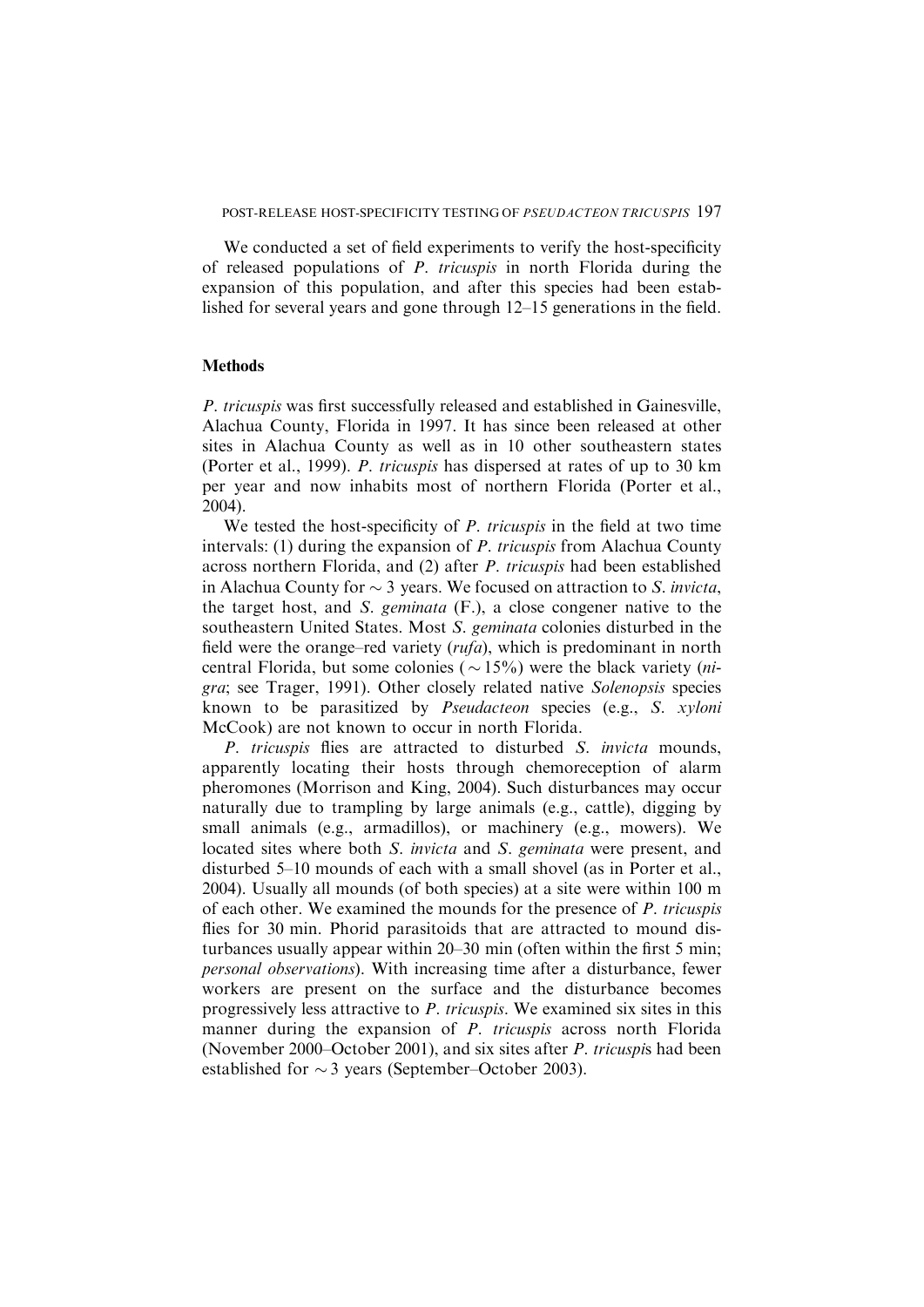We conducted a set of field experiments to verify the host-specificity of released populations of P. tricuspis in north Florida during the expansion of this population, and after this species had been established for several years and gone through 12–15 generations in the field.

#### **Methods**

P. tricuspis was first successfully released and established in Gainesville, Alachua County, Florida in 1997. It has since been released at other sites in Alachua County as well as in 10 other southeastern states (Porter et al., 1999). P. tricuspis has dispersed at rates of up to 30 km per year and now inhabits most of northern Florida (Porter et al., 2004).

We tested the host-specificity of P. tricuspis in the field at two time intervals: (1) during the expansion of P. tricuspis from Alachua County across northern Florida, and (2) after P. tricuspis had been established in Alachua County for  $\sim$  3 years. We focused on attraction to S. *invicta*, the target host, and S. geminata (F.), a close congener native to the southeastern United States. Most S. geminata colonies disturbed in the field were the orange–red variety  $(rufa)$ , which is predominant in north central Florida, but some colonies ( $\sim$  15%) were the black variety (*ni*gra; see Trager, 1991). Other closely related native Solenopsis species known to be parasitized by Pseudacteon species (e.g., S. xyloni McCook) are not known to occur in north Florida.

P. tricuspis flies are attracted to disturbed S. *invicta* mounds, apparently locating their hosts through chemoreception of alarm pheromones (Morrison and King, 2004). Such disturbances may occur naturally due to trampling by large animals (e.g., cattle), digging by small animals (e.g., armadillos), or machinery (e.g., mowers). We located sites where both S. *invicta* and S. *geminata* were present, and disturbed 5–10 mounds of each with a small shovel (as in Porter et al., 2004). Usually all mounds (of both species) at a site were within 100 m of each other. We examined the mounds for the presence of P. tricuspis flies for 30 min. Phorid parasitoids that are attracted to mound disturbances usually appear within 20–30 min (often within the first 5 min; personal observations). With increasing time after a disturbance, fewer workers are present on the surface and the disturbance becomes progressively less attractive to P. tricuspis. We examined six sites in this manner during the expansion of P. tricuspis across north Florida (November 2000–October 2001), and six sites after P. tricuspis had been established for  $\sim$  3 years (September–October 2003).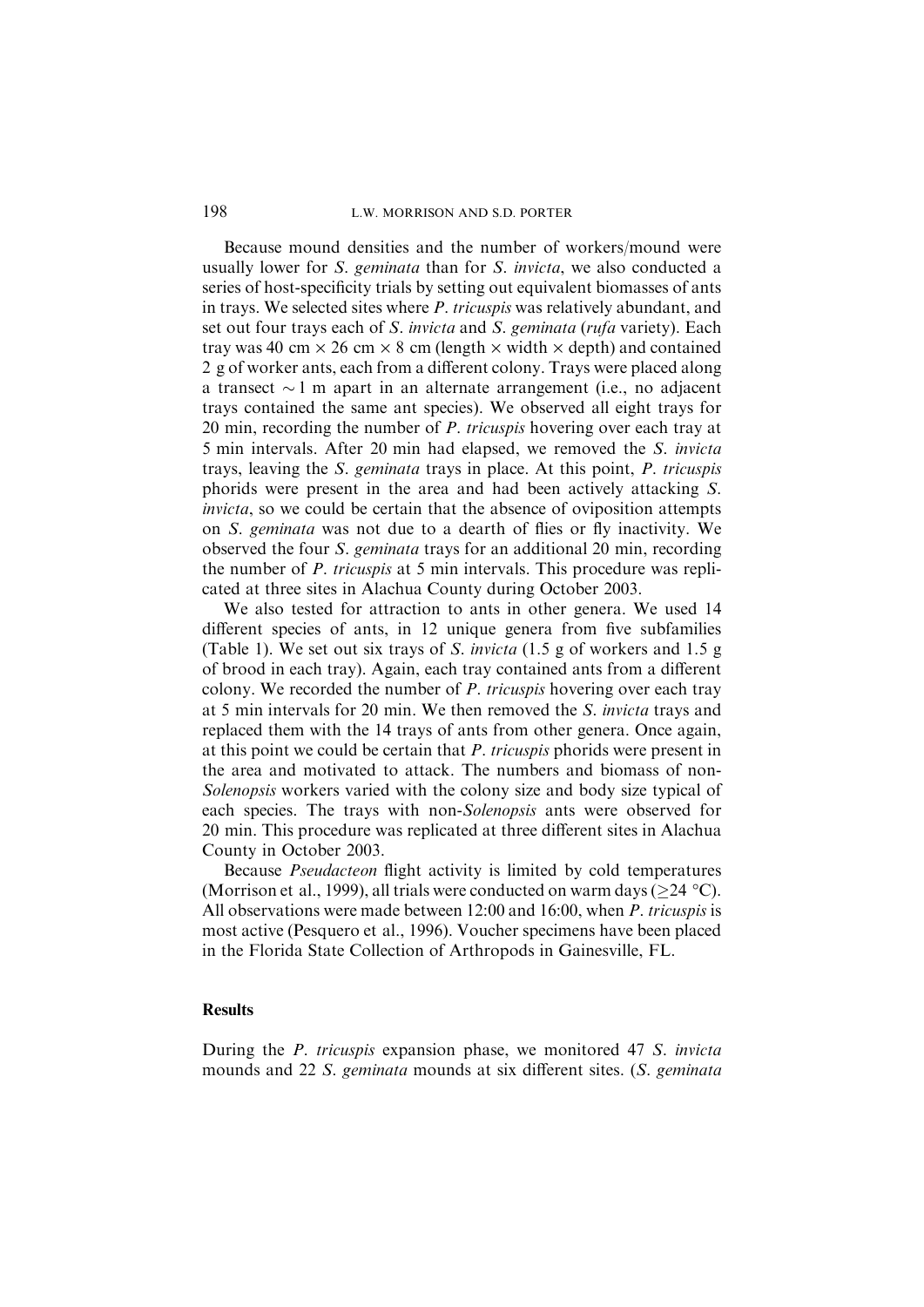## 198 L.W. MORRISON AND S.D. PORTER

Because mound densities and the number of workers/mound were usually lower for S. geminata than for S. invicta, we also conducted a series of host-specificity trials by setting out equivalent biomasses of ants in trays. We selected sites where P. tricuspis was relatively abundant, and set out four trays each of S. invicta and S. geminata (rufa variety). Each tray was 40 cm  $\times$  26 cm  $\times$  8 cm (length  $\times$  width  $\times$  depth) and contained 2 g of worker ants, each from a different colony. Trays were placed along a transect  $\sim$  1 m apart in an alternate arrangement (i.e., no adjacent trays contained the same ant species). We observed all eight trays for 20 min, recording the number of P. tricuspis hovering over each tray at 5 min intervals. After 20 min had elapsed, we removed the S. invicta trays, leaving the S. geminata trays in place. At this point, P. tricuspis phorids were present in the area and had been actively attacking S. invicta, so we could be certain that the absence of oviposition attempts on S. geminata was not due to a dearth of flies or fly inactivity. We observed the four S. geminata trays for an additional 20 min, recording the number of P. tricuspis at 5 min intervals. This procedure was replicated at three sites in Alachua County during October 2003.

We also tested for attraction to ants in other genera. We used 14 different species of ants, in 12 unique genera from five subfamilies (Table 1). We set out six trays of S. invicta (1.5 g of workers and 1.5 g of brood in each tray). Again, each tray contained ants from a different colony. We recorded the number of  $P$ . tricuspis hovering over each tray at 5 min intervals for 20 min. We then removed the S. invicta trays and replaced them with the 14 trays of ants from other genera. Once again, at this point we could be certain that P. tricuspis phorids were present in the area and motivated to attack. The numbers and biomass of non-Solenopsis workers varied with the colony size and body size typical of each species. The trays with non-Solenopsis ants were observed for 20 min. This procedure was replicated at three different sites in Alachua County in October 2003.

Because Pseudacteon flight activity is limited by cold temperatures (Morrison et al., 1999), all trials were conducted on warm days ( $\geq$ 24 °C). All observations were made between 12:00 and 16:00, when P. tricuspis is most active (Pesquero et al., 1996). Voucher specimens have been placed in the Florida State Collection of Arthropods in Gainesville, FL.

## Results

During the P. tricuspis expansion phase, we monitored 47 S. invicta mounds and 22 S. geminata mounds at six different sites. (S. geminata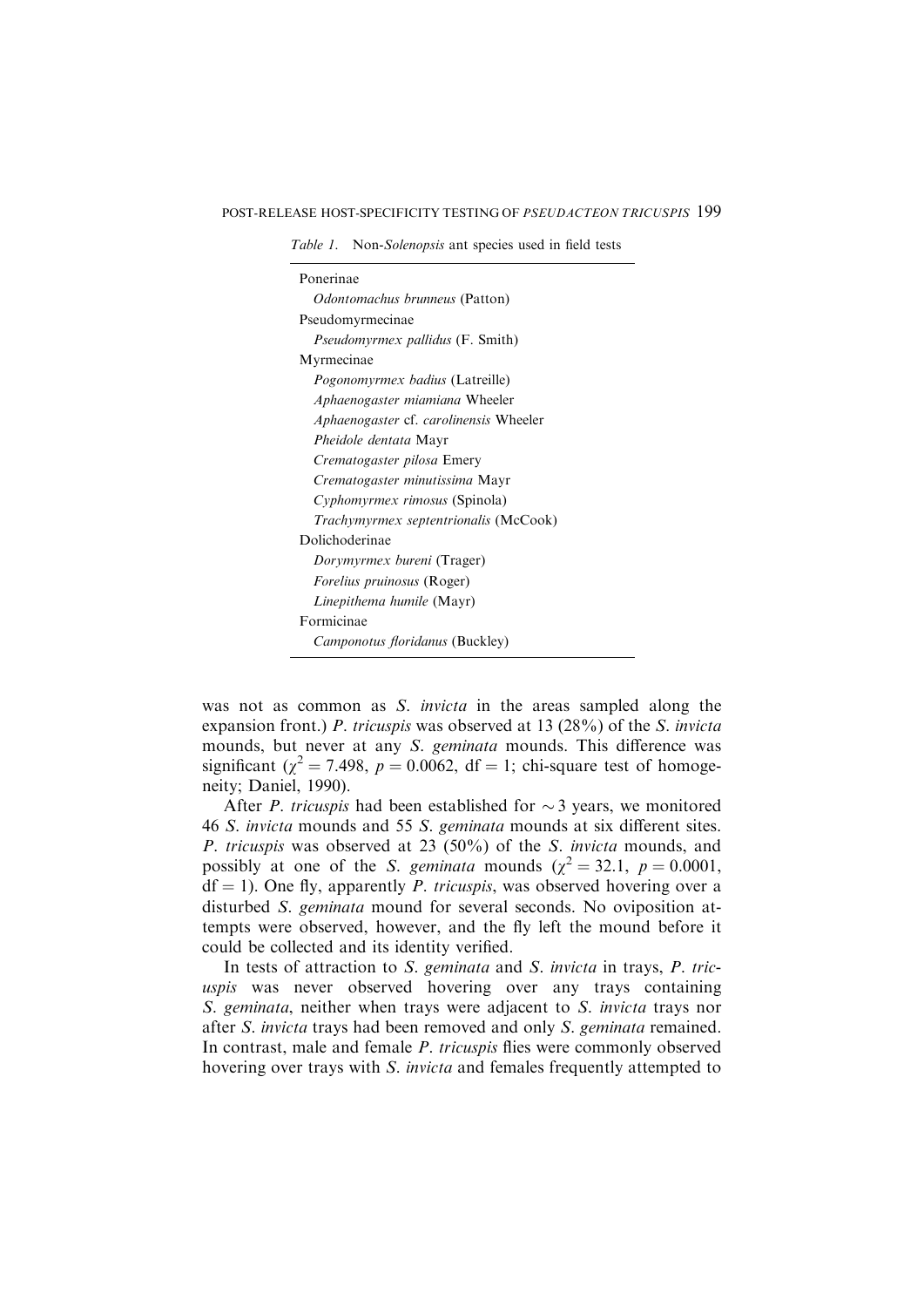Table 1. Non-Solenopsis ant species used in field tests

| Ponerinae                                    |
|----------------------------------------------|
| <i>Odontomachus brunneus</i> (Patton)        |
| Pseudomyrmecinae                             |
| <i>Pseudomyrmex pallidus</i> (F. Smith)      |
| Myrmecinae                                   |
| <i>Pogonomyrmex badius</i> (Latreille)       |
| Aphaenogaster miamiana Wheeler               |
| Aphaenogaster cf. carolinensis Wheeler       |
| Pheidole dentata Mayr                        |
| Crematogaster pilosa Emery                   |
| Crematogaster minutissima Mayr               |
| <i>Cyphomyrmex rimosus</i> (Spinola)         |
| <i>Trachymyrmex septentrionalis</i> (McCook) |
| Dolichoderinae                               |
| <i>Dorymyrmex bureni</i> (Trager)            |
| <i>Forelius pruinosus</i> (Roger)            |
| Linepithema humile (Mayr)                    |
| Formicinae                                   |
| Camponotus floridanus (Buckley)              |
|                                              |

was not as common as *S. invicta* in the areas sampled along the expansion front.) P. tricuspis was observed at 13 (28%) of the S. invicta mounds, but never at any S. geminata mounds. This difference was significant ( $\chi^2$  = 7.498, p = 0.0062, df = 1; chi-square test of homogeneity; Daniel, 1990).

After *P. tricuspis* had been established for  $\sim$  3 years, we monitored 46 S. invicta mounds and 55 S. geminata mounds at six different sites. P. tricuspis was observed at 23 (50%) of the S. invicta mounds, and possibly at one of the S. geminata mounds ( $\chi^2 = 32.1$ ,  $p = 0.0001$ ,  $df = 1$ ). One fly, apparently *P. tricuspis*, was observed hovering over a disturbed S. geminata mound for several seconds. No oviposition attempts were observed, however, and the fly left the mound before it could be collected and its identity verified.

In tests of attraction to S. geminata and S. invicta in trays, P. tricuspis was never observed hovering over any trays containing S. geminata, neither when trays were adjacent to S. invicta trays nor after S. invicta trays had been removed and only S. geminata remained. In contrast, male and female P. tricuspis flies were commonly observed hovering over trays with S. invicta and females frequently attempted to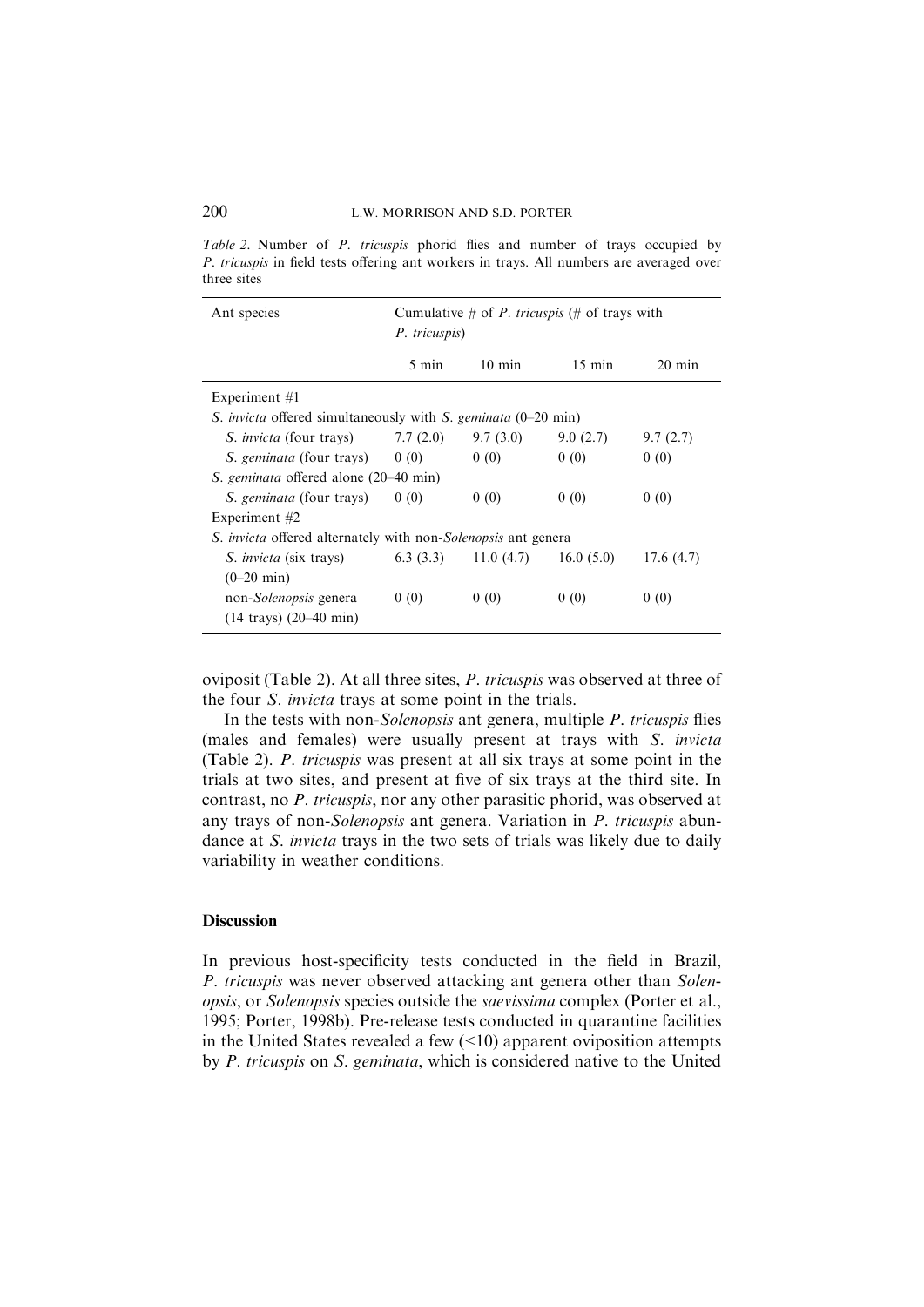Table 2. Number of P. tricuspis phorid flies and number of trays occupied by P. tricuspis in field tests offering ant workers in trays. All numbers are averaged over three sites

| Ant species                                                                           | Cumulative # of <i>P. tricuspis</i> (# of trays with<br>P. tricuspis) |                                                  |                  |                  |  |
|---------------------------------------------------------------------------------------|-----------------------------------------------------------------------|--------------------------------------------------|------------------|------------------|--|
|                                                                                       | 5 min                                                                 | $10 \text{ min}$                                 | $15 \text{ min}$ | $20 \text{ min}$ |  |
| Experiment $#1$                                                                       |                                                                       |                                                  |                  |                  |  |
| <i>S. invicta</i> offered simultaneously with <i>S. geminata</i> $(0-20 \text{ min})$ |                                                                       |                                                  |                  |                  |  |
| <i>S. invicta</i> (four trays)                                                        | 7.7(2.0)                                                              | 9.7(3.0)                                         | 9.0(2.7)         | 9.7(2.7)         |  |
| <i>S. geminata</i> (four trays) $0(0)$                                                |                                                                       | 0(0)                                             | 0(0)             | 0(0)             |  |
| <i>S. geminata</i> offered alone (20–40 min)                                          |                                                                       |                                                  |                  |                  |  |
| <i>S. geminata</i> (four trays)                                                       | 0(0)                                                                  | 0(0)                                             | 0(0)             | 0(0)             |  |
| Experiment $#2$                                                                       |                                                                       |                                                  |                  |                  |  |
| <i>S. invicta</i> offered alternately with non- <i>Solenopsis</i> ant genera          |                                                                       |                                                  |                  |                  |  |
| <i>S. invicta</i> (six trays)                                                         |                                                                       | $(6.3 \ (3.3) \ \ 11.0 \ (4.7) \ \ 16.0 \ (5.0)$ |                  | 17.6(4.7)        |  |
| $(0-20 \text{ min})$                                                                  |                                                                       |                                                  |                  |                  |  |
| non- <i>Solenopsis</i> genera                                                         | 0(0)                                                                  | 0(0)                                             | 0(0)             | 0(0)             |  |
| $(14 \text{ trays}) (20 - 40 \text{ min})$                                            |                                                                       |                                                  |                  |                  |  |

oviposit (Table 2). At all three sites, P. tricuspis was observed at three of the four S. invicta trays at some point in the trials.

In the tests with non-Solenopsis ant genera, multiple P. tricuspis flies (males and females) were usually present at trays with S. invicta (Table 2). P. tricuspis was present at all six trays at some point in the trials at two sites, and present at five of six trays at the third site. In contrast, no P. tricuspis, nor any other parasitic phorid, was observed at any trays of non-Solenopsis ant genera. Variation in P. tricuspis abundance at S. invicta trays in the two sets of trials was likely due to daily variability in weather conditions.

## **Discussion**

In previous host-specificity tests conducted in the field in Brazil, P. tricuspis was never observed attacking ant genera other than Solenopsis, or Solenopsis species outside the saevissima complex (Porter et al., 1995; Porter, 1998b). Pre-release tests conducted in quarantine facilities in the United States revealed a few  $($ <10) apparent oviposition attempts by P. tricuspis on S. geminata, which is considered native to the United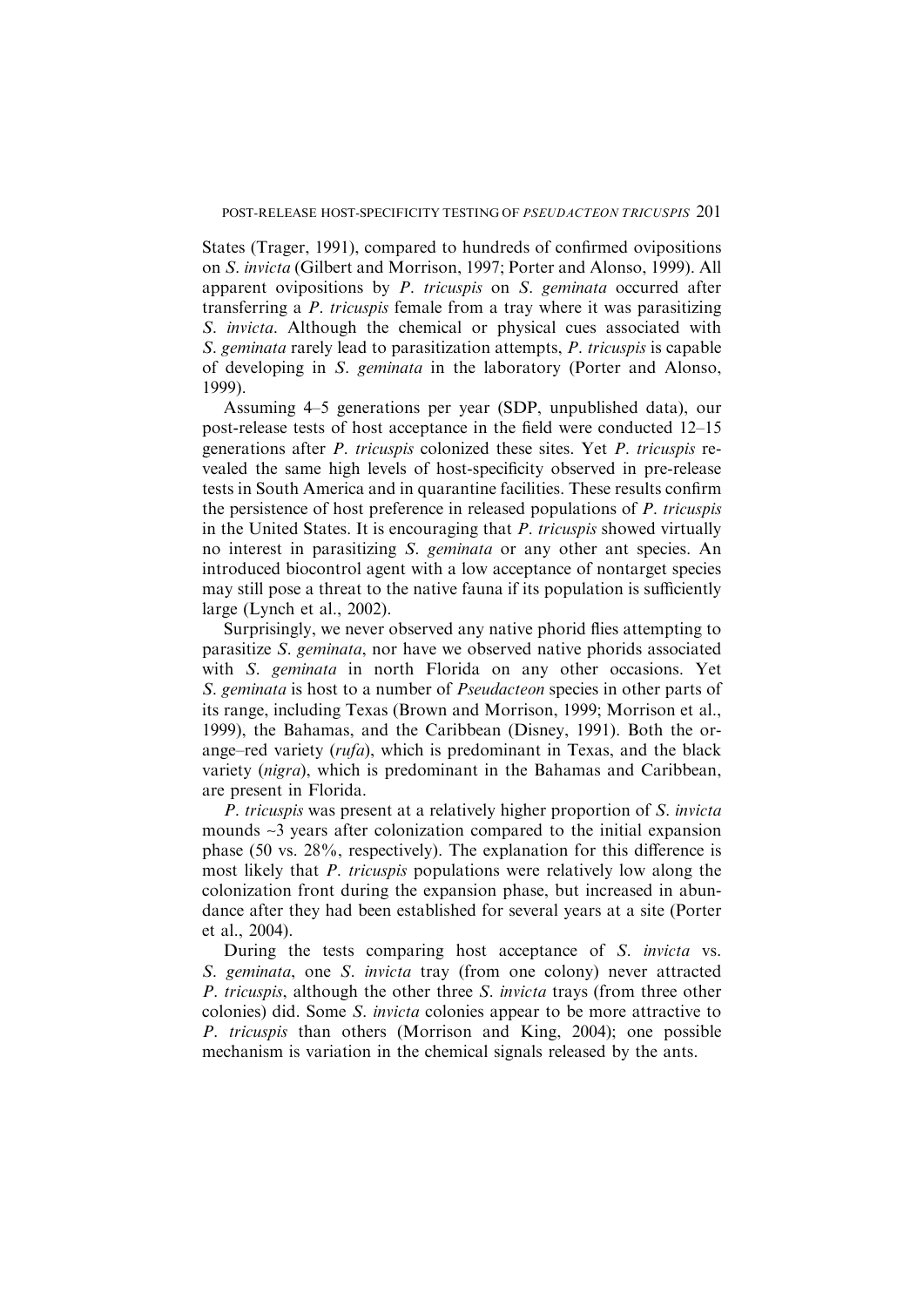States (Trager, 1991), compared to hundreds of confirmed ovipositions on S. invicta (Gilbert and Morrison, 1997; Porter and Alonso, 1999). All apparent ovipositions by P. tricuspis on S. geminata occurred after transferring a P. tricuspis female from a tray where it was parasitizing S. invicta. Although the chemical or physical cues associated with S. geminata rarely lead to parasitization attempts, P. tricuspis is capable of developing in S. geminata in the laboratory (Porter and Alonso, 1999).

Assuming 4–5 generations per year (SDP, unpublished data), our post-release tests of host acceptance in the field were conducted 12–15 generations after P. tricuspis colonized these sites. Yet P. tricuspis revealed the same high levels of host-specificity observed in pre-release tests in South America and in quarantine facilities. These results confirm the persistence of host preference in released populations of P. tricuspis in the United States. It is encouraging that P. tricuspis showed virtually no interest in parasitizing S. *geminata* or any other ant species. An introduced biocontrol agent with a low acceptance of nontarget species may still pose a threat to the native fauna if its population is sufficiently large (Lynch et al., 2002).

Surprisingly, we never observed any native phorid flies attempting to parasitize S. geminata, nor have we observed native phorids associated with S. geminata in north Florida on any other occasions. Yet S. geminata is host to a number of Pseudacteon species in other parts of its range, including Texas (Brown and Morrison, 1999; Morrison et al., 1999), the Bahamas, and the Caribbean (Disney, 1991). Both the orange–red variety  $(rufa)$ , which is predominant in Texas, and the black variety (nigra), which is predominant in the Bahamas and Caribbean, are present in Florida.

P. tricuspis was present at a relatively higher proportion of S. invicta mounds ~3 years after colonization compared to the initial expansion phase (50 vs. 28%, respectively). The explanation for this difference is most likely that P. tricuspis populations were relatively low along the colonization front during the expansion phase, but increased in abundance after they had been established for several years at a site (Porter et al., 2004).

During the tests comparing host acceptance of S. invicta vs. S. geminata, one S. invicta tray (from one colony) never attracted P. tricuspis, although the other three S. invicta trays (from three other colonies) did. Some S. invicta colonies appear to be more attractive to P. tricuspis than others (Morrison and King, 2004); one possible mechanism is variation in the chemical signals released by the ants.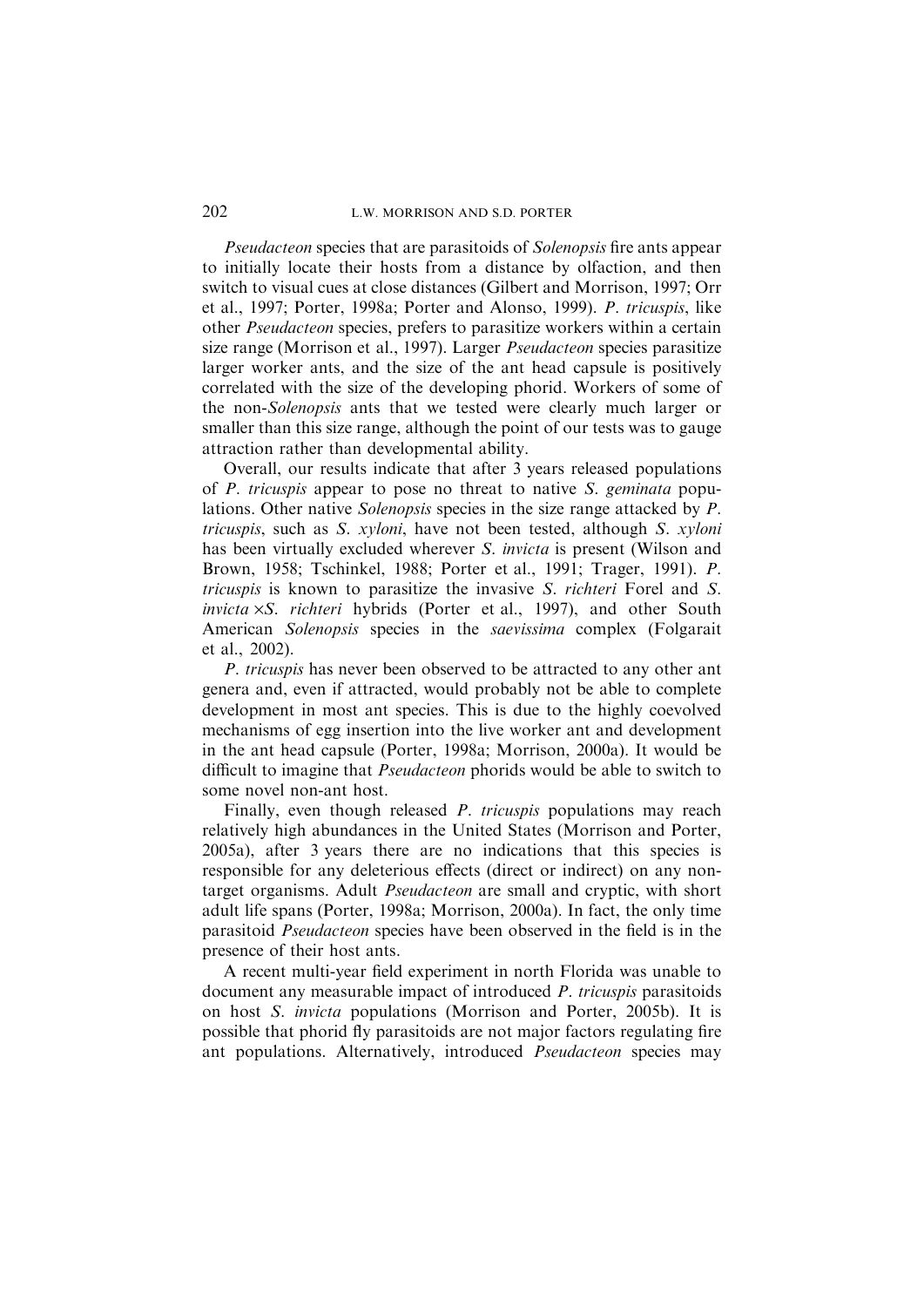# 202 L.W. MORRISON AND S.D. PORTER

Pseudacteon species that are parasitoids of Solenopsis fire ants appear to initially locate their hosts from a distance by olfaction, and then switch to visual cues at close distances (Gilbert and Morrison, 1997; Orr et al., 1997; Porter, 1998a; Porter and Alonso, 1999). P. tricuspis, like other Pseudacteon species, prefers to parasitize workers within a certain size range (Morrison et al., 1997). Larger Pseudacteon species parasitize larger worker ants, and the size of the ant head capsule is positively correlated with the size of the developing phorid. Workers of some of the non-Solenopsis ants that we tested were clearly much larger or smaller than this size range, although the point of our tests was to gauge attraction rather than developmental ability.

Overall, our results indicate that after 3 years released populations of P. tricuspis appear to pose no threat to native S. geminata populations. Other native Solenopsis species in the size range attacked by P. tricuspis, such as S. xyloni, have not been tested, although S. xyloni has been virtually excluded wherever *S. invicta* is present (Wilson and Brown, 1958; Tschinkel, 1988; Porter et al., 1991; Trager, 1991). P. tricuspis is known to parasitize the invasive S. richteri Forel and S. invicta  $\times S$ . richteri hybrids (Porter et al., 1997), and other South American Solenopsis species in the saevissima complex (Folgarait et al., 2002).

P. tricuspis has never been observed to be attracted to any other ant genera and, even if attracted, would probably not be able to complete development in most ant species. This is due to the highly coevolved mechanisms of egg insertion into the live worker ant and development in the ant head capsule (Porter, 1998a; Morrison, 2000a). It would be difficult to imagine that Pseudacteon phorids would be able to switch to some novel non-ant host.

Finally, even though released *P. tricuspis* populations may reach relatively high abundances in the United States (Morrison and Porter, 2005a), after 3 years there are no indications that this species is responsible for any deleterious effects (direct or indirect) on any nontarget organisms. Adult Pseudacteon are small and cryptic, with short adult life spans (Porter, 1998a; Morrison, 2000a). In fact, the only time parasitoid Pseudacteon species have been observed in the field is in the presence of their host ants.

A recent multi-year field experiment in north Florida was unable to document any measurable impact of introduced P. tricuspis parasitoids on host S. invicta populations (Morrison and Porter, 2005b). It is possible that phorid fly parasitoids are not major factors regulating fire ant populations. Alternatively, introduced Pseudacteon species may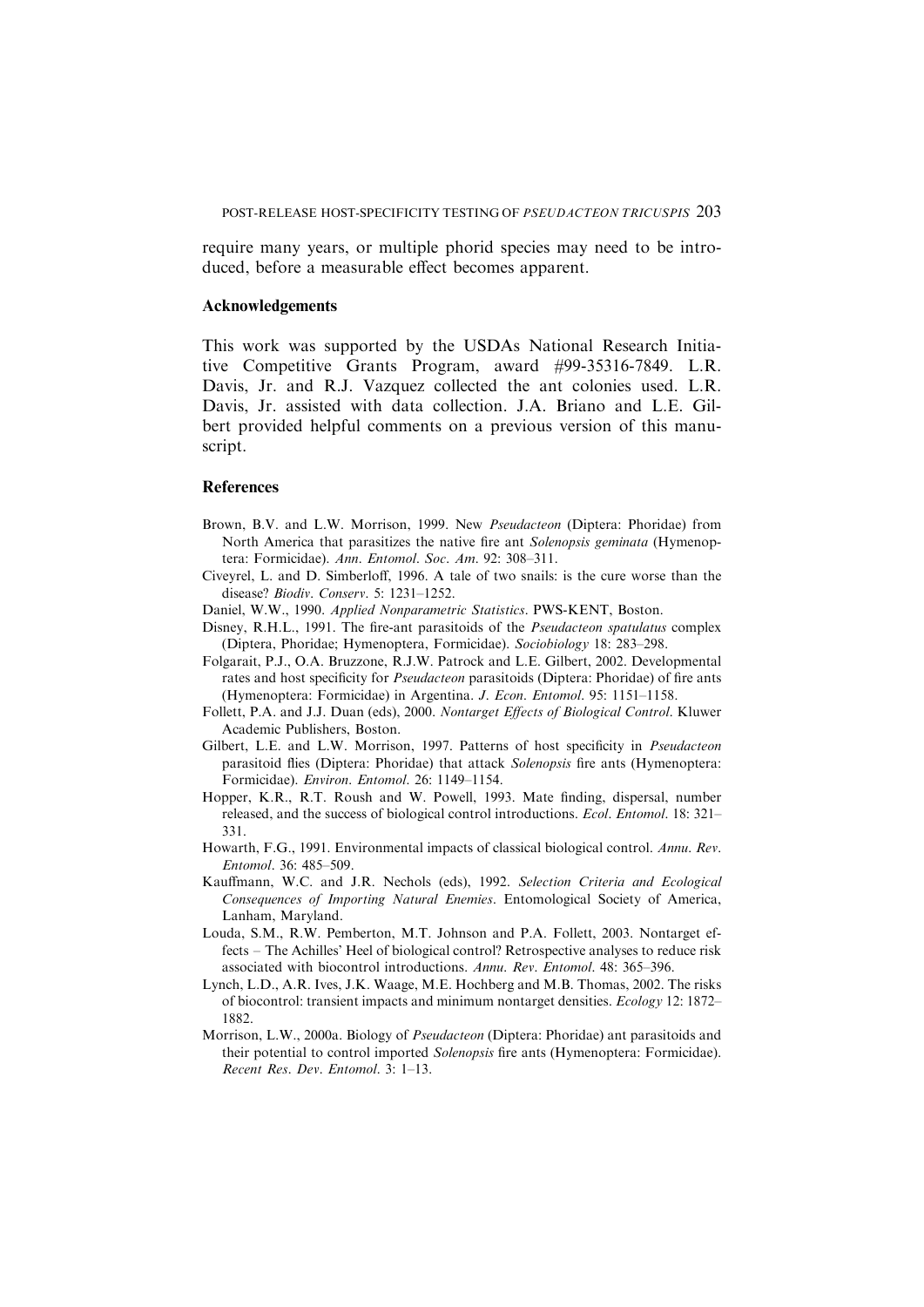require many years, or multiple phorid species may need to be introduced, before a measurable effect becomes apparent.

#### Acknowledgements

This work was supported by the USDAs National Research Initiative Competitive Grants Program, award #99-35316-7849. L.R. Davis, Jr. and R.J. Vazquez collected the ant colonies used. L.R. Davis, Jr. assisted with data collection. J.A. Briano and L.E. Gilbert provided helpful comments on a previous version of this manuscript.

## **References**

- Brown, B.V. and L.W. Morrison, 1999. New Pseudacteon (Diptera: Phoridae) from North America that parasitizes the native fire ant Solenopsis geminata (Hymenoptera: Formicidae). Ann. Entomol. Soc. Am. 92: 308–311.
- Civeyrel, L. and D. Simberloff, 1996. A tale of two snails: is the cure worse than the disease? Biodiv. Conserv. 5: 1231–1252.
- Daniel, W.W., 1990. Applied Nonparametric Statistics. PWS-KENT, Boston.
- Disney, R.H.L., 1991. The fire-ant parasitoids of the *Pseudacteon spatulatus* complex (Diptera, Phoridae; Hymenoptera, Formicidae). Sociobiology 18: 283–298.
- Folgarait, P.J., O.A. Bruzzone, R.J.W. Patrock and L.E. Gilbert, 2002. Developmental rates and host specificity for *Pseudacteon* parasitoids (Diptera: Phoridae) of fire ants (Hymenoptera: Formicidae) in Argentina. J. Econ. Entomol. 95: 1151–1158.
- Follett, P.A. and J.J. Duan (eds), 2000. Nontarget Effects of Biological Control. Kluwer Academic Publishers, Boston.
- Gilbert, L.E. and L.W. Morrison, 1997. Patterns of host specificity in *Pseudacteon* parasitoid flies (Diptera: Phoridae) that attack Solenopsis fire ants (Hymenoptera: Formicidae). Environ. Entomol. 26: 1149–1154.
- Hopper, K.R., R.T. Roush and W. Powell, 1993. Mate finding, dispersal, number released, and the success of biological control introductions. Ecol. Entomol. 18: 321– 331.
- Howarth, F.G., 1991. Environmental impacts of classical biological control. Annu. Rev. Entomol. 36: 485–509.
- Kauffmann, W.C. and J.R. Nechols (eds), 1992. Selection Criteria and Ecological Consequences of Importing Natural Enemies. Entomological Society of America, Lanham, Maryland.
- Louda, S.M., R.W. Pemberton, M.T. Johnson and P.A. Follett, 2003. Nontarget effects – The Achilles' Heel of biological control? Retrospective analyses to reduce risk associated with biocontrol introductions. Annu. Rev. Entomol. 48: 365–396.
- Lynch, L.D., A.R. Ives, J.K. Waage, M.E. Hochberg and M.B. Thomas, 2002. The risks of biocontrol: transient impacts and minimum nontarget densities. Ecology 12: 1872– 1882.
- Morrison, L.W., 2000a. Biology of *Pseudacteon* (Diptera: Phoridae) ant parasitoids and their potential to control imported Solenopsis fire ants (Hymenoptera: Formicidae). Recent Res. Dev. Entomol. 3: 1–13.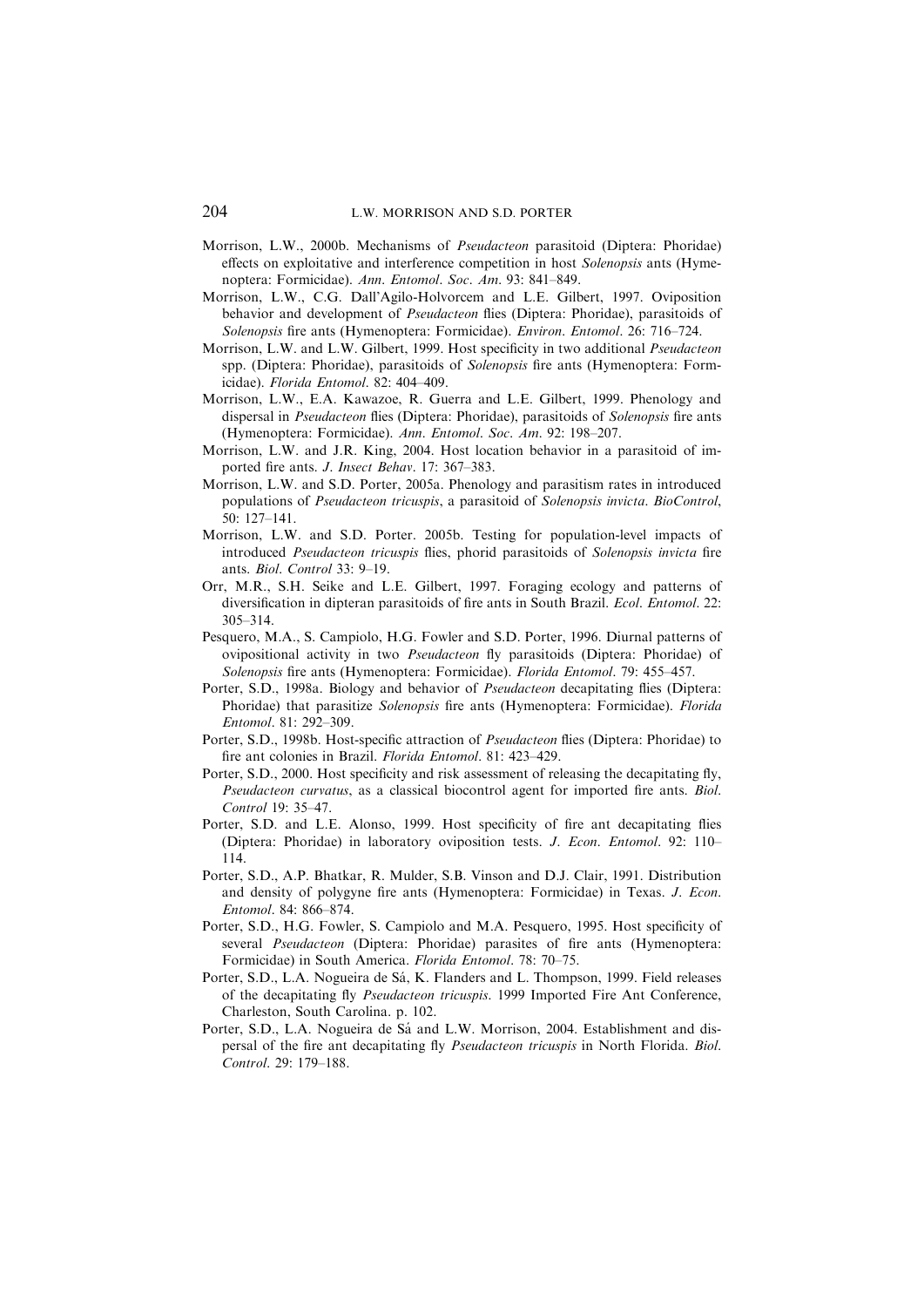- Morrison, L.W., 2000b. Mechanisms of Pseudacteon parasitoid (Diptera: Phoridae) effects on exploitative and interference competition in host Solenopsis ants (Hymenoptera: Formicidae). Ann. Entomol. Soc. Am. 93: 841–849.
- Morrison, L.W., C.G. Dall'Agilo-Holvorcem and L.E. Gilbert, 1997. Oviposition behavior and development of *Pseudacteon* flies (Diptera: Phoridae), parasitoids of Solenopsis fire ants (Hymenoptera: Formicidae). Environ. Entomol. 26: 716–724.
- Morrison, L.W. and L.W. Gilbert, 1999. Host specificity in two additional Pseudacteon spp. (Diptera: Phoridae), parasitoids of Solenopsis fire ants (Hymenoptera: Formicidae). Florida Entomol. 82: 404–409.
- Morrison, L.W., E.A. Kawazoe, R. Guerra and L.E. Gilbert, 1999. Phenology and dispersal in *Pseudacteon* flies (Diptera: Phoridae), parasitoids of *Solenopsis* fire ants (Hymenoptera: Formicidae). Ann. Entomol. Soc. Am. 92: 198–207.
- Morrison, L.W. and J.R. King, 2004. Host location behavior in a parasitoid of imported fire ants. J. Insect Behav. 17: 367–383.
- Morrison, L.W. and S.D. Porter, 2005a. Phenology and parasitism rates in introduced populations of Pseudacteon tricuspis, a parasitoid of Solenopsis invicta. BioControl, 50: 127–141.
- Morrison, L.W. and S.D. Porter. 2005b. Testing for population-level impacts of introduced Pseudacteon tricuspis flies, phorid parasitoids of Solenopsis invicta fire ants. Biol. Control 33: 9–19.
- Orr, M.R., S.H. Seike and L.E. Gilbert, 1997. Foraging ecology and patterns of diversification in dipteran parasitoids of fire ants in South Brazil. Ecol. Entomol. 22: 305–314.
- Pesquero, M.A., S. Campiolo, H.G. Fowler and S.D. Porter, 1996. Diurnal patterns of ovipositional activity in two Pseudacteon fly parasitoids (Diptera: Phoridae) of Solenopsis fire ants (Hymenoptera: Formicidae). Florida Entomol. 79: 455–457.
- Porter, S.D., 1998a. Biology and behavior of Pseudacteon decapitating flies (Diptera: Phoridae) that parasitize Solenopsis fire ants (Hymenoptera: Formicidae). Florida Entomol. 81: 292–309.
- Porter, S.D., 1998b. Host-specific attraction of *Pseudacteon* flies (Diptera: Phoridae) to fire ant colonies in Brazil. Florida Entomol. 81: 423–429.
- Porter, S.D., 2000. Host specificity and risk assessment of releasing the decapitating fly, Pseudacteon curvatus, as a classical biocontrol agent for imported fire ants. Biol. Control 19: 35–47.
- Porter, S.D. and L.E. Alonso, 1999. Host specificity of fire ant decapitating flies (Diptera: Phoridae) in laboratory oviposition tests. J. Econ. Entomol. 92: 110– 114.
- Porter, S.D., A.P. Bhatkar, R. Mulder, S.B. Vinson and D.J. Clair, 1991. Distribution and density of polygyne fire ants (Hymenoptera: Formicidae) in Texas. J. Econ. Entomol. 84: 866–874.
- Porter, S.D., H.G. Fowler, S. Campiolo and M.A. Pesquero, 1995. Host specificity of several Pseudacteon (Diptera: Phoridae) parasites of fire ants (Hymenoptera: Formicidae) in South America. Florida Entomol. 78: 70–75.
- Porter, S.D., L.A. Nogueira de Sá, K. Flanders and L. Thompson, 1999. Field releases of the decapitating fly Pseudacteon tricuspis. 1999 Imported Fire Ant Conference, Charleston, South Carolina. p. 102.
- Porter, S.D., L.A. Nogueira de Sá and L.W. Morrison, 2004. Establishment and dispersal of the fire ant decapitating fly Pseudacteon tricuspis in North Florida. Biol. Control. 29: 179–188.